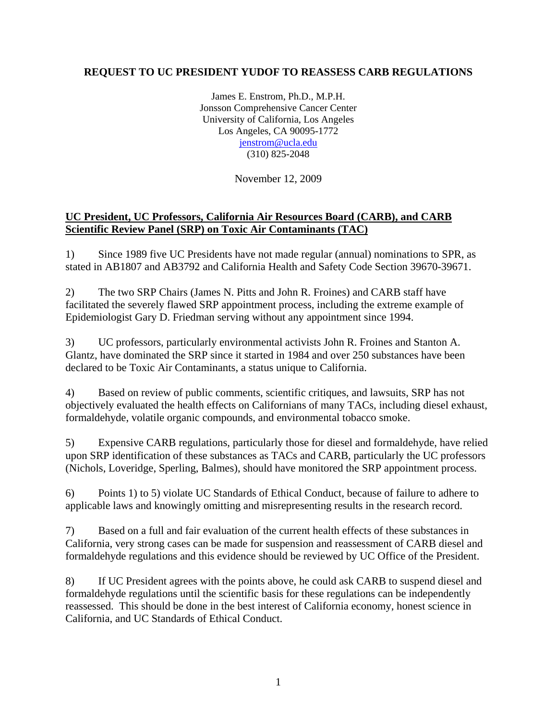## **REQUEST TO UC PRESIDENT YUDOF TO REASSESS CARB REGULATIONS**

James E. Enstrom, Ph.D., M.P.H. Jonsson Comprehensive Cancer Center University of California, Los Angeles Los Angeles, CA 90095-1772 [jenstrom@ucla.edu](mailto:jenstrom@ucla.edu) (310) 825-2048

November 12, 2009

## **UC President, UC Professors, California Air Resources Board (CARB), and CARB Scientific Review Panel (SRP) on Toxic Air Contaminants (TAC)**

1) Since 1989 five UC Presidents have not made regular (annual) nominations to SPR, as stated in AB1807 and AB3792 and California Health and Safety Code Section 39670-39671.

2) The two SRP Chairs (James N. Pitts and John R. Froines) and CARB staff have facilitated the severely flawed SRP appointment process, including the extreme example of Epidemiologist Gary D. Friedman serving without any appointment since 1994.

3) UC professors, particularly environmental activists John R. Froines and Stanton A. Glantz, have dominated the SRP since it started in 1984 and over 250 substances have been declared to be Toxic Air Contaminants, a status unique to California.

4) Based on review of public comments, scientific critiques, and lawsuits, SRP has not objectively evaluated the health effects on Californians of many TACs, including diesel exhaust, formaldehyde, volatile organic compounds, and environmental tobacco smoke.

5) Expensive CARB regulations, particularly those for diesel and formaldehyde, have relied upon SRP identification of these substances as TACs and CARB, particularly the UC professors (Nichols, Loveridge, Sperling, Balmes), should have monitored the SRP appointment process.

6) Points 1) to 5) violate UC Standards of Ethical Conduct, because of failure to adhere to applicable laws and knowingly omitting and misrepresenting results in the research record.

7) Based on a full and fair evaluation of the current health effects of these substances in California, very strong cases can be made for suspension and reassessment of CARB diesel and formaldehyde regulations and this evidence should be reviewed by UC Office of the President.

8) If UC President agrees with the points above, he could ask CARB to suspend diesel and formaldehyde regulations until the scientific basis for these regulations can be independently reassessed. This should be done in the best interest of California economy, honest science in California, and UC Standards of Ethical Conduct.